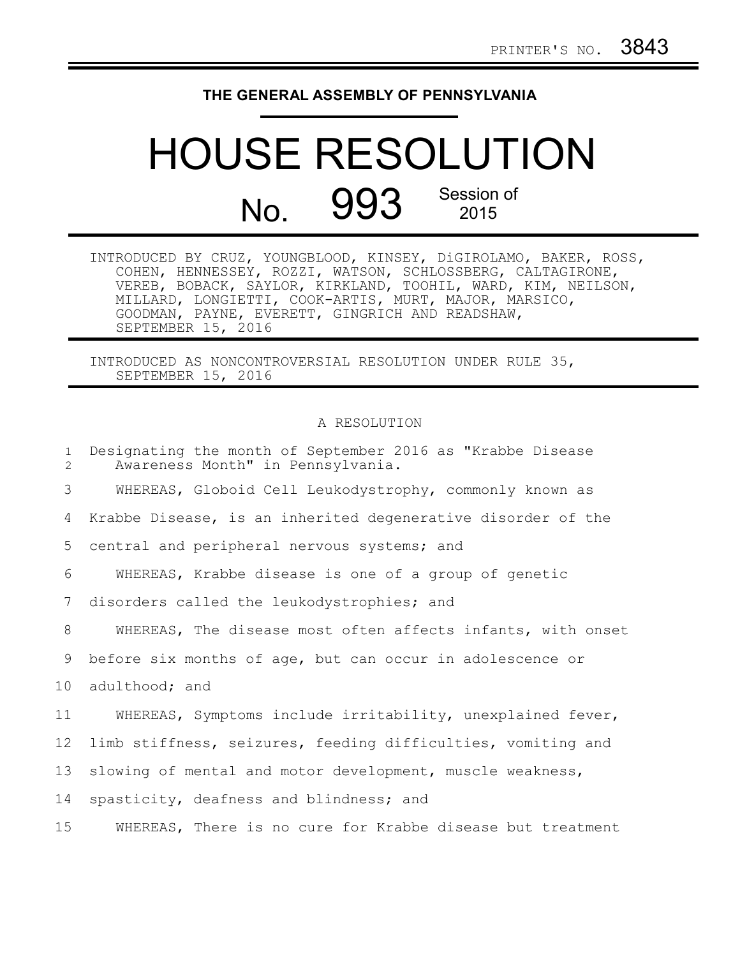## **THE GENERAL ASSEMBLY OF PENNSYLVANIA**

## HOUSE RESOLUTION No. 993 Session of

| INTRODUCED BY CRUZ, YOUNGBLOOD, KINSEY, DiGIROLAMO, BAKER, ROSS, |  |  |
|------------------------------------------------------------------|--|--|
| COHEN, HENNESSEY, ROZZI, WATSON, SCHLOSSBERG, CALTAGIRONE,       |  |  |
| VEREB, BOBACK, SAYLOR, KIRKLAND, TOOHIL, WARD, KIM, NEILSON,     |  |  |
| MILLARD, LONGIETTI, COOK-ARTIS, MURT, MAJOR, MARSICO,            |  |  |
| GOODMAN, PAYNE, EVERETT, GINGRICH AND READSHAW,                  |  |  |
| SEPTEMBER 15, 2016                                               |  |  |

INTRODUCED AS NONCONTROVERSIAL RESOLUTION UNDER RULE 35, SEPTEMBER 15, 2016

## A RESOLUTION

| $\mathbf{1}$<br>$\overline{2}$ | Designating the month of September 2016 as "Krabbe Disease<br>Awareness Month" in Pennsylvania. |
|--------------------------------|-------------------------------------------------------------------------------------------------|
| 3                              | WHEREAS, Globoid Cell Leukodystrophy, commonly known as                                         |
| 4                              | Krabbe Disease, is an inherited degenerative disorder of the                                    |
| 5                              | central and peripheral nervous systems; and                                                     |
| 6                              | WHEREAS, Krabbe disease is one of a group of genetic                                            |
| 7                              | disorders called the leukodystrophies; and                                                      |
| 8                              | WHEREAS, The disease most often affects infants, with onset                                     |
| 9                              | before six months of age, but can occur in adolescence or                                       |
| 10 <sub>o</sub>                | adulthood; and                                                                                  |
| 11                             | WHEREAS, Symptoms include irritability, unexplained fever,                                      |
| 12                             | limb stiffness, seizures, feeding difficulties, vomiting and                                    |
| 13                             | slowing of mental and motor development, muscle weakness,                                       |
| 14                             | spasticity, deafness and blindness; and                                                         |
| 15                             | WHEREAS, There is no cure for Krabbe disease but treatment                                      |